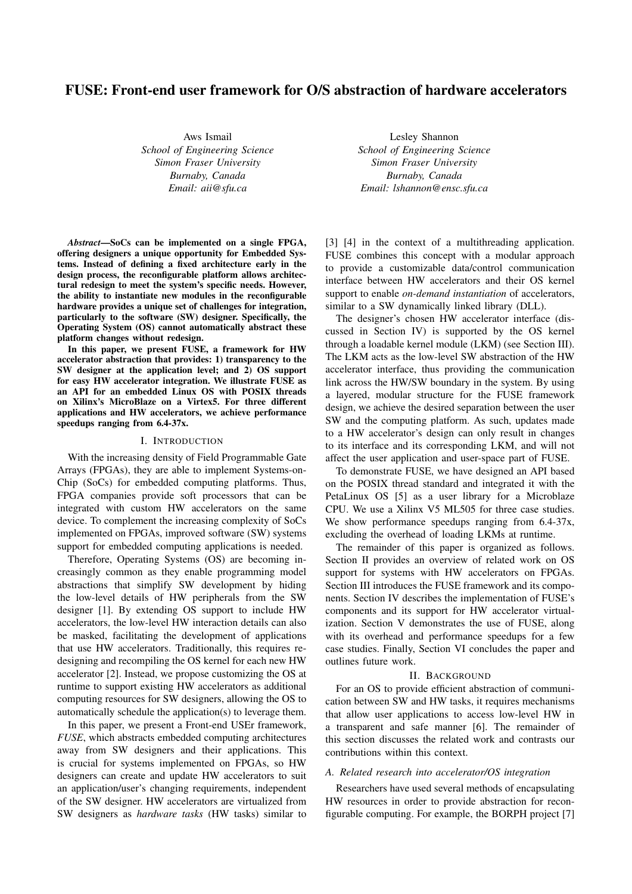# FUSE: Front-end user framework for O/S abstraction of hardware accelerators

Aws Ismail *School of Engineering Science Simon Fraser University Burnaby, Canada Email: aii@sfu.ca*

*Abstract*—SoCs can be implemented on a single FPGA, offering designers a unique opportunity for Embedded Systems. Instead of defining a fixed architecture early in the design process, the reconfigurable platform allows architectural redesign to meet the system's specific needs. However, the ability to instantiate new modules in the reconfigurable hardware provides a unique set of challenges for integration, particularly to the software (SW) designer. Specifically, the Operating System (OS) cannot automatically abstract these platform changes without redesign.

In this paper, we present FUSE, a framework for HW accelerator abstraction that provides: 1) transparency to the SW designer at the application level; and 2) OS support for easy HW accelerator integration. We illustrate FUSE as an API for an embedded Linux OS with POSIX threads on Xilinx's MicroBlaze on a Virtex5. For three different applications and HW accelerators, we achieve performance speedups ranging from 6.4-37x.

#### I. INTRODUCTION

With the increasing density of Field Programmable Gate Arrays (FPGAs), they are able to implement Systems-on-Chip (SoCs) for embedded computing platforms. Thus, FPGA companies provide soft processors that can be integrated with custom HW accelerators on the same device. To complement the increasing complexity of SoCs implemented on FPGAs, improved software (SW) systems support for embedded computing applications is needed.

Therefore, Operating Systems (OS) are becoming increasingly common as they enable programming model abstractions that simplify SW development by hiding the low-level details of HW peripherals from the SW designer [1]. By extending OS support to include HW accelerators, the low-level HW interaction details can also be masked, facilitating the development of applications that use HW accelerators. Traditionally, this requires redesigning and recompiling the OS kernel for each new HW accelerator [2]. Instead, we propose customizing the OS at runtime to support existing HW accelerators as additional computing resources for SW designers, allowing the OS to automatically schedule the application(s) to leverage them.

In this paper, we present a Front-end USEr framework, *FUSE*, which abstracts embedded computing architectures away from SW designers and their applications. This is crucial for systems implemented on FPGAs, so HW designers can create and update HW accelerators to suit an application/user's changing requirements, independent of the SW designer. HW accelerators are virtualized from SW designers as *hardware tasks* (HW tasks) similar to

Lesley Shannon *School of Engineering Science Simon Fraser University Burnaby, Canada Email: lshannon@ensc.sfu.ca*

[3] [4] in the context of a multithreading application. FUSE combines this concept with a modular approach to provide a customizable data/control communication interface between HW accelerators and their OS kernel support to enable *on-demand instantiation* of accelerators, similar to a SW dynamically linked library (DLL).

The designer's chosen HW accelerator interface (discussed in Section IV) is supported by the OS kernel through a loadable kernel module (LKM) (see Section III). The LKM acts as the low-level SW abstraction of the HW accelerator interface, thus providing the communication link across the HW/SW boundary in the system. By using a layered, modular structure for the FUSE framework design, we achieve the desired separation between the user SW and the computing platform. As such, updates made to a HW accelerator's design can only result in changes to its interface and its corresponding LKM, and will not affect the user application and user-space part of FUSE.

To demonstrate FUSE, we have designed an API based on the POSIX thread standard and integrated it with the PetaLinux OS [5] as a user library for a Microblaze CPU. We use a Xilinx V5 ML505 for three case studies. We show performance speedups ranging from 6.4-37x, excluding the overhead of loading LKMs at runtime.

The remainder of this paper is organized as follows. Section II provides an overview of related work on OS support for systems with HW accelerators on FPGAs. Section III introduces the FUSE framework and its components. Section IV describes the implementation of FUSE's components and its support for HW accelerator virtualization. Section V demonstrates the use of FUSE, along with its overhead and performance speedups for a few case studies. Finally, Section VI concludes the paper and outlines future work.

#### II. BACKGROUND

For an OS to provide efficient abstraction of communication between SW and HW tasks, it requires mechanisms that allow user applications to access low-level HW in a transparent and safe manner [6]. The remainder of this section discusses the related work and contrasts our contributions within this context.

# *A. Related research into accelerator/OS integration*

Researchers have used several methods of encapsulating HW resources in order to provide abstraction for reconfigurable computing. For example, the BORPH project [7]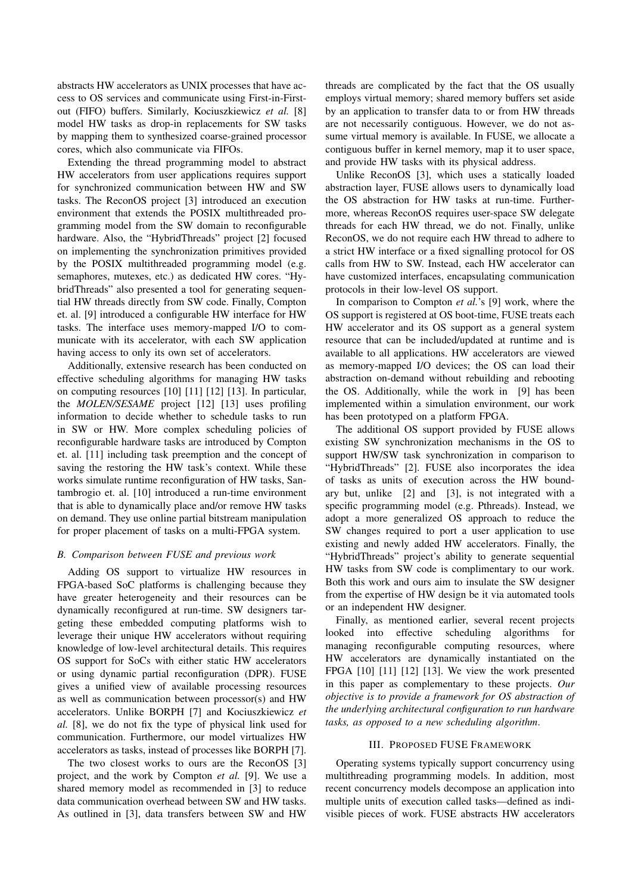abstracts HW accelerators as UNIX processes that have access to OS services and communicate using First-in-Firstout (FIFO) buffers. Similarly, Kociuszkiewicz *et al.* [8] model HW tasks as drop-in replacements for SW tasks by mapping them to synthesized coarse-grained processor cores, which also communicate via FIFOs.

Extending the thread programming model to abstract HW accelerators from user applications requires support for synchronized communication between HW and SW tasks. The ReconOS project [3] introduced an execution environment that extends the POSIX multithreaded programming model from the SW domain to reconfigurable hardware. Also, the "HybridThreads" project [2] focused on implementing the synchronization primitives provided by the POSIX multithreaded programming model (e.g. semaphores, mutexes, etc.) as dedicated HW cores. "HybridThreads" also presented a tool for generating sequential HW threads directly from SW code. Finally, Compton et. al. [9] introduced a configurable HW interface for HW tasks. The interface uses memory-mapped I/O to communicate with its accelerator, with each SW application having access to only its own set of accelerators.

Additionally, extensive research has been conducted on effective scheduling algorithms for managing HW tasks on computing resources [10] [11] [12] [13]. In particular, the *MOLEN/SESAME* project [12] [13] uses profiling information to decide whether to schedule tasks to run in SW or HW. More complex scheduling policies of reconfigurable hardware tasks are introduced by Compton et. al. [11] including task preemption and the concept of saving the restoring the HW task's context. While these works simulate runtime reconfiguration of HW tasks, Santambrogio et. al. [10] introduced a run-time environment that is able to dynamically place and/or remove HW tasks on demand. They use online partial bitstream manipulation for proper placement of tasks on a multi-FPGA system.

#### *B. Comparison between FUSE and previous work*

Adding OS support to virtualize HW resources in FPGA-based SoC platforms is challenging because they have greater heterogeneity and their resources can be dynamically reconfigured at run-time. SW designers targeting these embedded computing platforms wish to leverage their unique HW accelerators without requiring knowledge of low-level architectural details. This requires OS support for SoCs with either static HW accelerators or using dynamic partial reconfiguration (DPR). FUSE gives a unified view of available processing resources as well as communication between processor(s) and HW accelerators. Unlike BORPH [7] and Kociuszkiewicz *et al.* [8], we do not fix the type of physical link used for communication. Furthermore, our model virtualizes HW accelerators as tasks, instead of processes like BORPH [7].

The two closest works to ours are the ReconOS [3] project, and the work by Compton *et al.* [9]. We use a shared memory model as recommended in [3] to reduce data communication overhead between SW and HW tasks. As outlined in [3], data transfers between SW and HW

threads are complicated by the fact that the OS usually employs virtual memory; shared memory buffers set aside by an application to transfer data to or from HW threads are not necessarily contiguous. However, we do not assume virtual memory is available. In FUSE, we allocate a contiguous buffer in kernel memory, map it to user space, and provide HW tasks with its physical address.

Unlike ReconOS [3], which uses a statically loaded abstraction layer, FUSE allows users to dynamically load the OS abstraction for HW tasks at run-time. Furthermore, whereas ReconOS requires user-space SW delegate threads for each HW thread, we do not. Finally, unlike ReconOS, we do not require each HW thread to adhere to a strict HW interface or a fixed signalling protocol for OS calls from HW to SW. Instead, each HW accelerator can have customized interfaces, encapsulating communication protocols in their low-level OS support.

In comparison to Compton *et al.*'s [9] work, where the OS support is registered at OS boot-time, FUSE treats each HW accelerator and its OS support as a general system resource that can be included/updated at runtime and is available to all applications. HW accelerators are viewed as memory-mapped I/O devices; the OS can load their abstraction on-demand without rebuilding and rebooting the OS. Additionally, while the work in [9] has been implemented within a simulation environment, our work has been prototyped on a platform FPGA.

The additional OS support provided by FUSE allows existing SW synchronization mechanisms in the OS to support HW/SW task synchronization in comparison to "HybridThreads" [2]. FUSE also incorporates the idea of tasks as units of execution across the HW boundary but, unlike [2] and [3], is not integrated with a specific programming model (e.g. Pthreads). Instead, we adopt a more generalized OS approach to reduce the SW changes required to port a user application to use existing and newly added HW accelerators. Finally, the "HybridThreads" project's ability to generate sequential HW tasks from SW code is complimentary to our work. Both this work and ours aim to insulate the SW designer from the expertise of HW design be it via automated tools or an independent HW designer.

Finally, as mentioned earlier, several recent projects looked into effective scheduling algorithms for managing reconfigurable computing resources, where HW accelerators are dynamically instantiated on the FPGA [10] [11] [12] [13]. We view the work presented in this paper as complementary to these projects. *Our objective is to provide a framework for OS abstraction of the underlying architectural configuration to run hardware tasks, as opposed to a new scheduling algorithm*.

#### III. PROPOSED FUSE FRAMEWORK

Operating systems typically support concurrency using multithreading programming models. In addition, most recent concurrency models decompose an application into multiple units of execution called tasks—defined as indivisible pieces of work. FUSE abstracts HW accelerators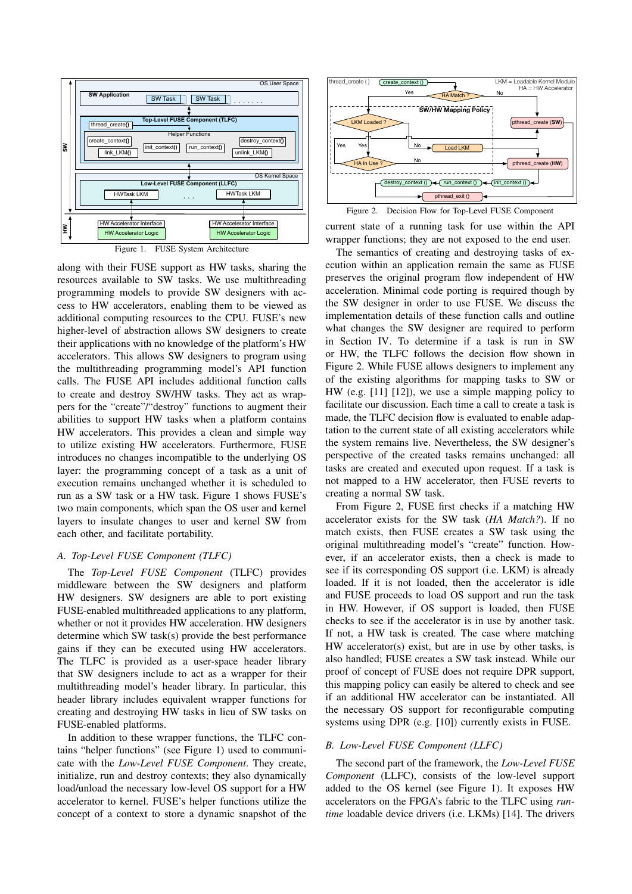

Figure 1. FUSE System Architecture

along with their FUSE support as HW tasks, sharing the resources available to SW tasks. We use multithreading programming models to provide SW designers with access to HW accelerators, enabling them to be viewed as additional computing resources to the CPU. FUSE's new higher-level of abstraction allows SW designers to create their applications with no knowledge of the platform's HW accelerators. This allows SW designers to program using the multithreading programming model's API function calls. The FUSE API includes additional function calls to create and destroy SW/HW tasks. They act as wrappers for the "create"/"destroy" functions to augment their abilities to support HW tasks when a platform contains HW accelerators. This provides a clean and simple way to utilize existing HW accelerators. Furthermore, FUSE introduces no changes incompatible to the underlying OS layer: the programming concept of a task as a unit of execution remains unchanged whether it is scheduled to run as a SW task or a HW task. Figure 1 shows FUSE's two main components, which span the OS user and kernel layers to insulate changes to user and kernel SW from each other, and facilitate portability.

# *A. Top-Level FUSE Component (TLFC)*

The *Top-Level FUSE Component* (TLFC) provides middleware between the SW designers and platform HW designers. SW designers are able to port existing FUSE-enabled multithreaded applications to any platform, whether or not it provides HW acceleration. HW designers determine which SW task(s) provide the best performance gains if they can be executed using HW accelerators. The TLFC is provided as a user-space header library that SW designers include to act as a wrapper for their multithreading model's header library. In particular, this header library includes equivalent wrapper functions for creating and destroying HW tasks in lieu of SW tasks on FUSE-enabled platforms.

In addition to these wrapper functions, the TLFC contains "helper functions" (see Figure 1) used to communicate with the *Low-Level FUSE Component*. They create, initialize, run and destroy contexts; they also dynamically load/unload the necessary low-level OS support for a HW accelerator to kernel. FUSE's helper functions utilize the concept of a context to store a dynamic snapshot of the



Figure 2. Decision Flow for Top-Level FUSE Component

current state of a running task for use within the API wrapper functions; they are not exposed to the end user.

The semantics of creating and destroying tasks of execution within an application remain the same as FUSE preserves the original program flow independent of HW acceleration. Minimal code porting is required though by the SW designer in order to use FUSE. We discuss the implementation details of these function calls and outline what changes the SW designer are required to perform in Section IV. To determine if a task is run in SW or HW, the TLFC follows the decision flow shown in Figure 2. While FUSE allows designers to implement any of the existing algorithms for mapping tasks to SW or HW (e.g. [11] [12]), we use a simple mapping policy to facilitate our discussion. Each time a call to create a task is made, the TLFC decision flow is evaluated to enable adaptation to the current state of all existing accelerators while the system remains live. Nevertheless, the SW designer's perspective of the created tasks remains unchanged: all tasks are created and executed upon request. If a task is not mapped to a HW accelerator, then FUSE reverts to creating a normal SW task.

From Figure 2, FUSE first checks if a matching HW accelerator exists for the SW task (*HA Match?*). If no match exists, then FUSE creates a SW task using the original multithreading model's "create" function. However, if an accelerator exists, then a check is made to see if its corresponding OS support (i.e. LKM) is already loaded. If it is not loaded, then the accelerator is idle and FUSE proceeds to load OS support and run the task in HW. However, if OS support is loaded, then FUSE checks to see if the accelerator is in use by another task. If not, a HW task is created. The case where matching HW accelerator(s) exist, but are in use by other tasks, is also handled; FUSE creates a SW task instead. While our proof of concept of FUSE does not require DPR support, this mapping policy can easily be altered to check and see if an additional HW accelerator can be instantiated. All the necessary OS support for reconfigurable computing systems using DPR (e.g. [10]) currently exists in FUSE.

# *B. Low-Level FUSE Component (LLFC)*

The second part of the framework, the *Low-Level FUSE Component* (LLFC), consists of the low-level support added to the OS kernel (see Figure 1). It exposes HW accelerators on the FPGA's fabric to the TLFC using *runtime* loadable device drivers (i.e. LKMs) [14]. The drivers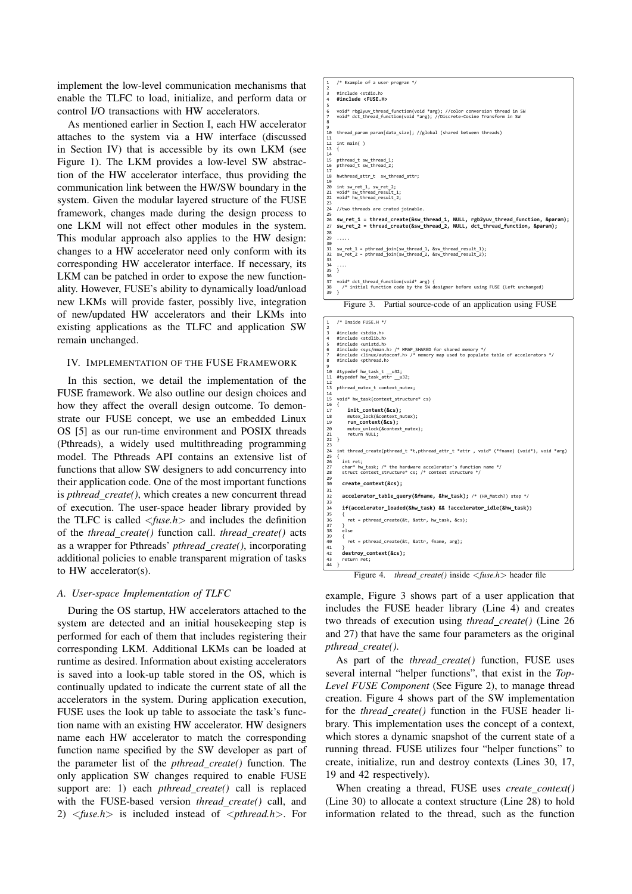implement the low-level communication mechanisms that enable the TLFC to load, initialize, and perform data or control I/O transactions with HW accelerators.

As mentioned earlier in Section I, each HW accelerator attaches to the system via a HW interface (discussed in Section IV) that is accessible by its own LKM (see Figure 1). The LKM provides a low-level SW abstraction of the HW accelerator interface, thus providing the communication link between the HW/SW boundary in the system. Given the modular layered structure of the FUSE framework, changes made during the design process to one LKM will not effect other modules in the system. This modular approach also applies to the HW design: changes to a HW accelerator need only conform with its corresponding HW accelerator interface. If necessary, its LKM can be patched in order to expose the new functionality. However, FUSE's ability to dynamically load/unload new LKMs will provide faster, possibly live, integration of new/updated HW accelerators and their LKMs into existing applications as the TLFC and application SW remain unchanged.

#### IV. IMPLEMENTATION OF THE FUSE FRAMEWORK

In this section, we detail the implementation of the FUSE framework. We also outline our design choices and how they affect the overall design outcome. To demonstrate our FUSE concept, we use an embedded Linux OS [5] as our run-time environment and POSIX threads (Pthreads), a widely used multithreading programming model. The Pthreads API contains an extensive list of functions that allow SW designers to add concurrency into their application code. One of the most important functions is *pthread create()*, which creates a new concurrent thread of execution. The user-space header library provided by the TLFC is called <*fuse.h*> and includes the definition of the *thread create()* function call. *thread create()* acts as a wrapper for Pthreads' *pthread create()*, incorporating additional policies to enable transparent migration of tasks to HW accelerator(s).

### *A. User-space Implementation of TLFC*

During the OS startup, HW accelerators attached to the system are detected and an initial housekeeping step is performed for each of them that includes registering their corresponding LKM. Additional LKMs can be loaded at runtime as desired. Information about existing accelerators is saved into a look-up table stored in the OS, which is continually updated to indicate the current state of all the accelerators in the system. During application execution, FUSE uses the look up table to associate the task's function name with an existing HW accelerator. HW designers name each HW accelerator to match the corresponding function name specified by the SW developer as part of the parameter list of the *pthread create()* function. The only application SW changes required to enable FUSE support are: 1) each *pthread create()* call is replaced with the FUSE-based version *thread create()* call, and 2) <*fuse.h*> is included instead of <*pthread.h*>. For





Figure 4. *thread create()* inside <*fuse.h*> header file

example, Figure 3 shows part of a user application that includes the FUSE header library (Line 4) and creates two threads of execution using *thread create()* (Line 26 and 27) that have the same four parameters as the original *pthread create()*.

As part of the *thread create()* function, FUSE uses several internal "helper functions", that exist in the *Top-Level FUSE Component* (See Figure 2), to manage thread creation. Figure 4 shows part of the SW implementation for the *thread create()* function in the FUSE header library. This implementation uses the concept of a context, which stores a dynamic snapshot of the current state of a running thread. FUSE utilizes four "helper functions" to create, initialize, run and destroy contexts (Lines 30, 17, 19 and 42 respectively).

When creating a thread, FUSE uses *create context()* (Line 30) to allocate a context structure (Line 28) to hold information related to the thread, such as the function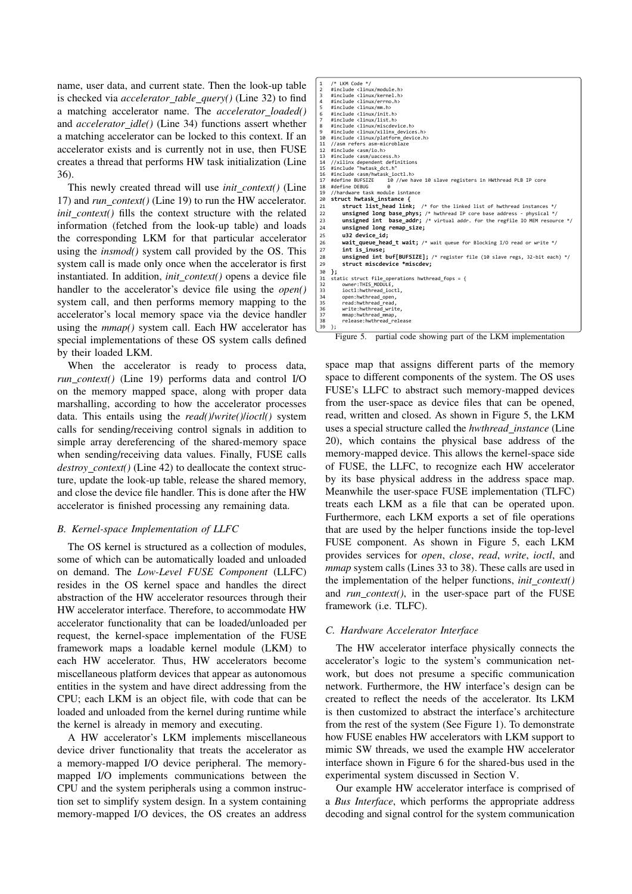name, user data, and current state. Then the look-up table is checked via *accelerator table query()* (Line 32) to find a matching accelerator name. The *accelerator loaded()* and *accelerator idle()* (Line 34) functions assert whether a matching accelerator can be locked to this context. If an accelerator exists and is currently not in use, then FUSE creates a thread that performs HW task initialization (Line 36).

This newly created thread will use *init context()* (Line 17) and *run context()* (Line 19) to run the HW accelerator. *init\_context()* fills the context structure with the related information (fetched from the look-up table) and loads the corresponding LKM for that particular accelerator using the *insmod()* system call provided by the OS. This system call is made only once when the accelerator is first instantiated. In addition, *init context()* opens a device file handler to the accelerator's device file using the *open()* system call, and then performs memory mapping to the accelerator's local memory space via the device handler using the *mmap()* system call. Each HW accelerator has special implementations of these OS system calls defined by their loaded LKM.

When the accelerator is ready to process data, *run context()* (Line 19) performs data and control I/O on the memory mapped space, along with proper data marshalling, according to how the accelerator processes data. This entails using the *read()*/*write()*/*ioctl()* system calls for sending/receiving control signals in addition to simple array dereferencing of the shared-memory space when sending/receiving data values. Finally, FUSE calls *destroy context()* (Line 42) to deallocate the context structure, update the look-up table, release the shared memory, and close the device file handler. This is done after the HW accelerator is finished processing any remaining data.

#### *B. Kernel-space Implementation of LLFC*

The OS kernel is structured as a collection of modules, some of which can be automatically loaded and unloaded on demand. The *Low-Level FUSE Component* (LLFC) resides in the OS kernel space and handles the direct abstraction of the HW accelerator resources through their HW accelerator interface. Therefore, to accommodate HW accelerator functionality that can be loaded/unloaded per request, the kernel-space implementation of the FUSE framework maps a loadable kernel module (LKM) to each HW accelerator. Thus, HW accelerators become miscellaneous platform devices that appear as autonomous entities in the system and have direct addressing from the CPU; each LKM is an object file, with code that can be loaded and unloaded from the kernel during runtime while the kernel is already in memory and executing.

A HW accelerator's LKM implements miscellaneous device driver functionality that treats the accelerator as a memory-mapped I/O device peripheral. The memorymapped I/O implements communications between the CPU and the system peripherals using a common instruction set to simplify system design. In a system containing memory-mapped I/O devices, the OS creates an address

| 1              | /* LKM Code */                                                                                         |
|----------------|--------------------------------------------------------------------------------------------------------|
| $\overline{2}$ | #include <linux module.h=""></linux>                                                                   |
| 3              | #include <linux kernel.h=""></linux>                                                                   |
| 4              | #include <linux errno.h=""></linux>                                                                    |
| 5              | #include <linux mm.h=""></linux>                                                                       |
| 6              | #include <linux init.h=""></linux>                                                                     |
| $\overline{7}$ | #include <linux list.h=""></linux>                                                                     |
| 8              | #include <linux miscdevice.h=""></linux>                                                               |
| 9              | #include <linux devices.h="" xilinx=""></linux>                                                        |
|                | 10 #include <linux device.h="" platform=""></linux>                                                    |
|                | 11 //asm refers asm-microblaze                                                                         |
|                | 12 #include <asm io.h=""></asm>                                                                        |
|                | 13 #include <asm uaccess.h=""></asm>                                                                   |
|                | 14 //xilinx dependent definitions                                                                      |
|                | 15 #include "hwtask dct.h"                                                                             |
|                | 16 #include <asm hwtask="" ioctl.h=""></asm>                                                           |
|                | 17 #define BUFSIZE<br>10 //we have 10 slave registers in HWthread PLB IP core<br>18 #define DEBUG<br>a |
|                | 19 //hardware task module isntance                                                                     |
|                | 20 struct hwtask instance {                                                                            |
|                |                                                                                                        |
| 21             | struct list head link; /* for the linked list of hwthread instances */                                 |
| 22             | unsigned long base_phys; /* hwthread IP core base address - physical */                                |
| 23             | unsigned int base addr; $/*$ virtual addr. for the regfile IO MEM resource $*/$                        |
| 24             | unsigned long remap size;                                                                              |
| 25             | u32 device id;                                                                                         |
| 26             | wait queue head t wait; /* wait queue for Blocking I/O read or write */                                |
| 27             | int is inuse;                                                                                          |
|                |                                                                                                        |
| 28             | unsigned int buf[BUFSIZE]; /* register file (10 slave regs, 32-bit each) */                            |
| 29             | struct miscdevice *miscdev;                                                                            |
| 30             | $\cdot$                                                                                                |
| 31             | static struct file operations hwthread fops = {                                                        |
| 32             | owner: THIS MODULE,                                                                                    |
| 33             | ioctl:hwthread_ioctl,                                                                                  |
| 34             | open: hwthread open,                                                                                   |
| 35             | read:hwthread_read,                                                                                    |
| 36             | write:hwthread write,                                                                                  |
| 37             | mmap:hwthread mmap,                                                                                    |
| 38             | release:hwthread release                                                                               |
| 39             | };                                                                                                     |
|                | $\mathbf{r}$<br>$\sim$ $\cdot$ $\cdot$<br>-<br>$\cdot$ $\cdot$<br>$\mathbf{r}$<br><b>T TFS # '</b>     |

Figure 5. partial code showing part of the LKM implementation

space map that assigns different parts of the memory space to different components of the system. The OS uses FUSE's LLFC to abstract such memory-mapped devices from the user-space as device files that can be opened, read, written and closed. As shown in Figure 5, the LKM uses a special structure called the *hwthread instance* (Line 20), which contains the physical base address of the memory-mapped device. This allows the kernel-space side of FUSE, the LLFC, to recognize each HW accelerator by its base physical address in the address space map. Meanwhile the user-space FUSE implementation (TLFC) treats each LKM as a file that can be operated upon. Furthermore, each LKM exports a set of file operations that are used by the helper functions inside the top-level FUSE component. As shown in Figure 5, each LKM provides services for *open*, *close*, *read*, *write*, *ioctl*, and *mmap* system calls (Lines 33 to 38). These calls are used in the implementation of the helper functions, *init context()* and *run context()*, in the user-space part of the FUSE framework (i.e. TLFC).

#### *C. Hardware Accelerator Interface*

The HW accelerator interface physically connects the accelerator's logic to the system's communication network, but does not presume a specific communication network. Furthermore, the HW interface's design can be created to reflect the needs of the accelerator. Its LKM is then customized to abstract the interface's architecture from the rest of the system (See Figure 1). To demonstrate how FUSE enables HW accelerators with LKM support to mimic SW threads, we used the example HW accelerator interface shown in Figure 6 for the shared-bus used in the experimental system discussed in Section V.

Our example HW accelerator interface is comprised of a *Bus Interface*, which performs the appropriate address decoding and signal control for the system communication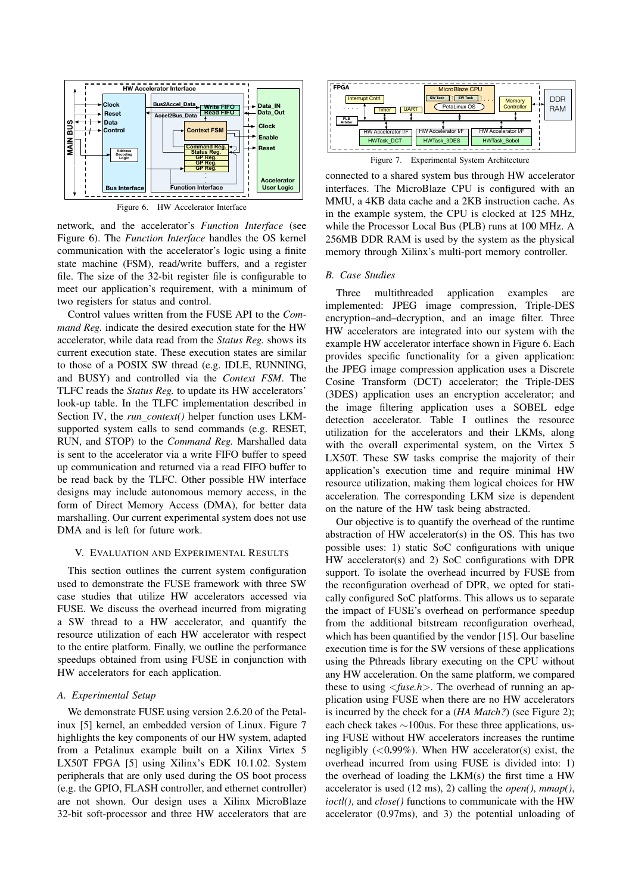

Figure 6. HW Accelerator Interface

network, and the accelerator's *Function Interface* (see Figure 6). The *Function Interface* handles the OS kernel communication with the accelerator's logic using a finite state machine (FSM), read/write buffers, and a register file. The size of the 32-bit register file is configurable to meet our application's requirement, with a minimum of two registers for status and control.

Control values written from the FUSE API to the *Command Reg.* indicate the desired execution state for the HW accelerator, while data read from the *Status Reg.* shows its current execution state. These execution states are similar to those of a POSIX SW thread (e.g. IDLE, RUNNING, and BUSY) and controlled via the *Context FSM*. The TLFC reads the *Status Reg.* to update its HW accelerators' look-up table. In the TLFC implementation described in Section IV, the *run context()* helper function uses LKMsupported system calls to send commands (e.g. RESET, RUN, and STOP) to the *Command Reg.* Marshalled data is sent to the accelerator via a write FIFO buffer to speed up communication and returned via a read FIFO buffer to be read back by the TLFC. Other possible HW interface designs may include autonomous memory access, in the form of Direct Memory Access (DMA), for better data marshalling. Our current experimental system does not use DMA and is left for future work.

### V. EVALUATION AND EXPERIMENTAL RESULTS

This section outlines the current system configuration used to demonstrate the FUSE framework with three SW case studies that utilize HW accelerators accessed via FUSE. We discuss the overhead incurred from migrating a SW thread to a HW accelerator, and quantify the resource utilization of each HW accelerator with respect to the entire platform. Finally, we outline the performance speedups obtained from using FUSE in conjunction with HW accelerators for each application.

#### *A. Experimental Setup*

We demonstrate FUSE using version 2.6.20 of the Petalinux [5] kernel, an embedded version of Linux. Figure 7 highlights the key components of our HW system, adapted from a Petalinux example built on a Xilinx Virtex 5 LX50T FPGA [5] using Xilinx's EDK 10.1.02. System peripherals that are only used during the OS boot process (e.g. the GPIO, FLASH controller, and ethernet controller) are not shown. Our design uses a Xilinx MicroBlaze 32-bit soft-processor and three HW accelerators that are





connected to a shared system bus through HW accelerator interfaces. The MicroBlaze CPU is configured with an MMU, a 4KB data cache and a 2KB instruction cache. As in the example system, the CPU is clocked at 125 MHz, while the Processor Local Bus (PLB) runs at 100 MHz. A 256MB DDR RAM is used by the system as the physical memory through Xilinx's multi-port memory controller.

# *B. Case Studies*

Three multithreaded application examples are implemented: JPEG image compression, Triple-DES encryption–and–decryption, and an image filter. Three HW accelerators are integrated into our system with the example HW accelerator interface shown in Figure 6. Each provides specific functionality for a given application: the JPEG image compression application uses a Discrete Cosine Transform (DCT) accelerator; the Triple-DES (3DES) application uses an encryption accelerator; and the image filtering application uses a SOBEL edge detection accelerator. Table I outlines the resource utilization for the accelerators and their LKMs, along with the overall experimental system, on the Virtex 5 LX50T. These SW tasks comprise the majority of their application's execution time and require minimal HW resource utilization, making them logical choices for HW acceleration. The corresponding LKM size is dependent on the nature of the HW task being abstracted.

Our objective is to quantify the overhead of the runtime abstraction of HW accelerator(s) in the OS. This has two possible uses: 1) static SoC configurations with unique HW accelerator(s) and 2) SoC configurations with DPR support. To isolate the overhead incurred by FUSE from the reconfiguration overhead of DPR, we opted for statically configured SoC platforms. This allows us to separate the impact of FUSE's overhead on performance speedup from the additional bitstream reconfiguration overhead, which has been quantified by the vendor [15]. Our baseline execution time is for the SW versions of these applications using the Pthreads library executing on the CPU without any HW acceleration. On the same platform, we compared these to using <*fuse.h*>. The overhead of running an application using FUSE when there are no HW accelerators is incurred by the check for a (*HA Match?*) (see Figure 2); each check takes ∼100us. For these three applications, using FUSE without HW accelerators increases the runtime negligibly  $(<0.99\%)$ . When HW accelerator(s) exist, the overhead incurred from using FUSE is divided into: 1) the overhead of loading the LKM(s) the first time a HW accelerator is used (12 ms), 2) calling the *open()*, *mmap()*, *ioctl()*, and *close()* functions to communicate with the HW accelerator (0.97ms), and 3) the potential unloading of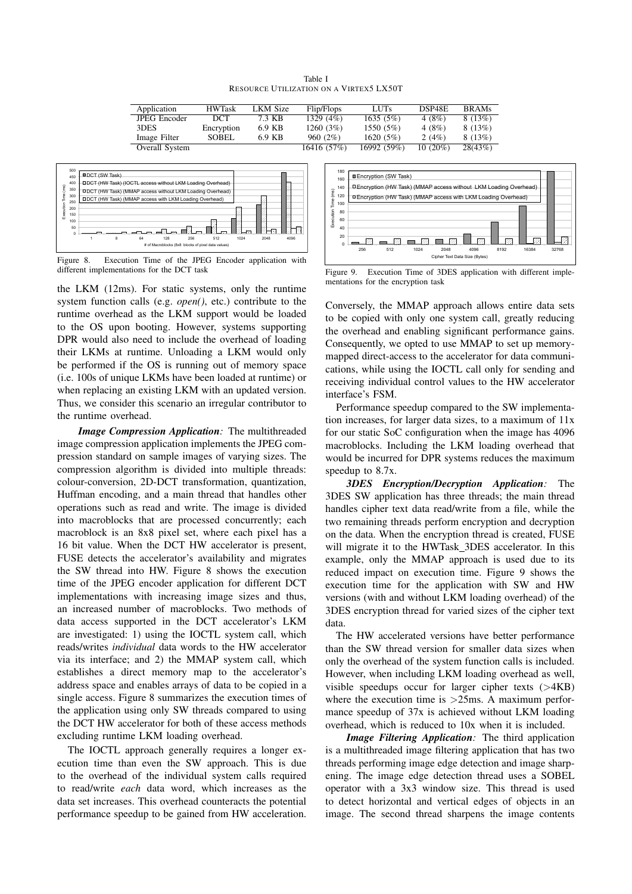Table I RESOURCE UTILIZATION ON A VIRTEX5 LX50T

| Application         | <b>HWTask</b> | LKM Size | Flip/Flops  | <b>LUTs</b> | DSP48E     | <b>BRAMs</b> |
|---------------------|---------------|----------|-------------|-------------|------------|--------------|
| <b>JPEG</b> Encoder | <b>DCT</b>    | 7.3 KB   | 1329 $(4%)$ | 1635(5%)    | 4(8%)      | 8(13%)       |
| 3DES                | Encryption    | 6.9 KB   | 1260(3%)    | 1550 (5%)   | 4 $(8%)$   | 8(13%)       |
| Image Filter        | <b>SOBEL</b>  | 6.9 KB   | 960 (2%)    | 1620(5%)    | 2(4%)      | 8(13%)       |
| Overall System      |               |          | 16416 (57%) | 16992 (59%) | $10(20\%)$ | 28(43%)      |



Figure 8. Execution Time of the JPEG Encoder application with different implementations for the DCT task

the LKM (12ms). For static systems, only the runtime system function calls (e.g. *open()*, etc.) contribute to the runtime overhead as the LKM support would be loaded to the OS upon booting. However, systems supporting DPR would also need to include the overhead of loading their LKMs at runtime. Unloading a LKM would only be performed if the OS is running out of memory space (i.e. 100s of unique LKMs have been loaded at runtime) or when replacing an existing LKM with an updated version. Thus, we consider this scenario an irregular contributor to the runtime overhead.

*Image Compression Application:* The multithreaded image compression application implements the JPEG compression standard on sample images of varying sizes. The compression algorithm is divided into multiple threads: colour-conversion, 2D-DCT transformation, quantization, Huffman encoding, and a main thread that handles other operations such as read and write. The image is divided into macroblocks that are processed concurrently; each macroblock is an 8x8 pixel set, where each pixel has a 16 bit value. When the DCT HW accelerator is present, FUSE detects the accelerator's availability and migrates the SW thread into HW. Figure 8 shows the execution time of the JPEG encoder application for different DCT implementations with increasing image sizes and thus, an increased number of macroblocks. Two methods of data access supported in the DCT accelerator's LKM are investigated: 1) using the IOCTL system call, which reads/writes *individual* data words to the HW accelerator via its interface; and 2) the MMAP system call, which establishes a direct memory map to the accelerator's address space and enables arrays of data to be copied in a single access. Figure 8 summarizes the execution times of the application using only SW threads compared to using the DCT HW accelerator for both of these access methods excluding runtime LKM loading overhead.

The IOCTL approach generally requires a longer execution time than even the SW approach. This is due to the overhead of the individual system calls required to read/write *each* data word, which increases as the data set increases. This overhead counteracts the potential performance speedup to be gained from HW acceleration.



Figure 9. Execution Time of 3DES application with different implementations for the encryption task

Conversely, the MMAP approach allows entire data sets to be copied with only one system call, greatly reducing the overhead and enabling significant performance gains. Consequently, we opted to use MMAP to set up memorymapped direct-access to the accelerator for data communications, while using the IOCTL call only for sending and receiving individual control values to the HW accelerator interface's FSM.

Performance speedup compared to the SW implementation increases, for larger data sizes, to a maximum of 11x for our static SoC configuration when the image has 4096 macroblocks. Including the LKM loading overhead that would be incurred for DPR systems reduces the maximum speedup to 8.7x.

*3DES Encryption/Decryption Application:* The 3DES SW application has three threads; the main thread handles cipher text data read/write from a file, while the two remaining threads perform encryption and decryption on the data. When the encryption thread is created, FUSE will migrate it to the HWTask\_3DES accelerator. In this example, only the MMAP approach is used due to its reduced impact on execution time. Figure 9 shows the execution time for the application with SW and HW versions (with and without LKM loading overhead) of the 3DES encryption thread for varied sizes of the cipher text data.

The HW accelerated versions have better performance than the SW thread version for smaller data sizes when only the overhead of the system function calls is included. However, when including LKM loading overhead as well, visible speedups occur for larger cipher texts (>4KB) where the execution time is  $>25$ ms. A maximum performance speedup of 37x is achieved without LKM loading overhead, which is reduced to 10x when it is included.

*Image Filtering Application:* The third application is a multithreaded image filtering application that has two threads performing image edge detection and image sharpening. The image edge detection thread uses a SOBEL operator with a 3x3 window size. This thread is used to detect horizontal and vertical edges of objects in an image. The second thread sharpens the image contents